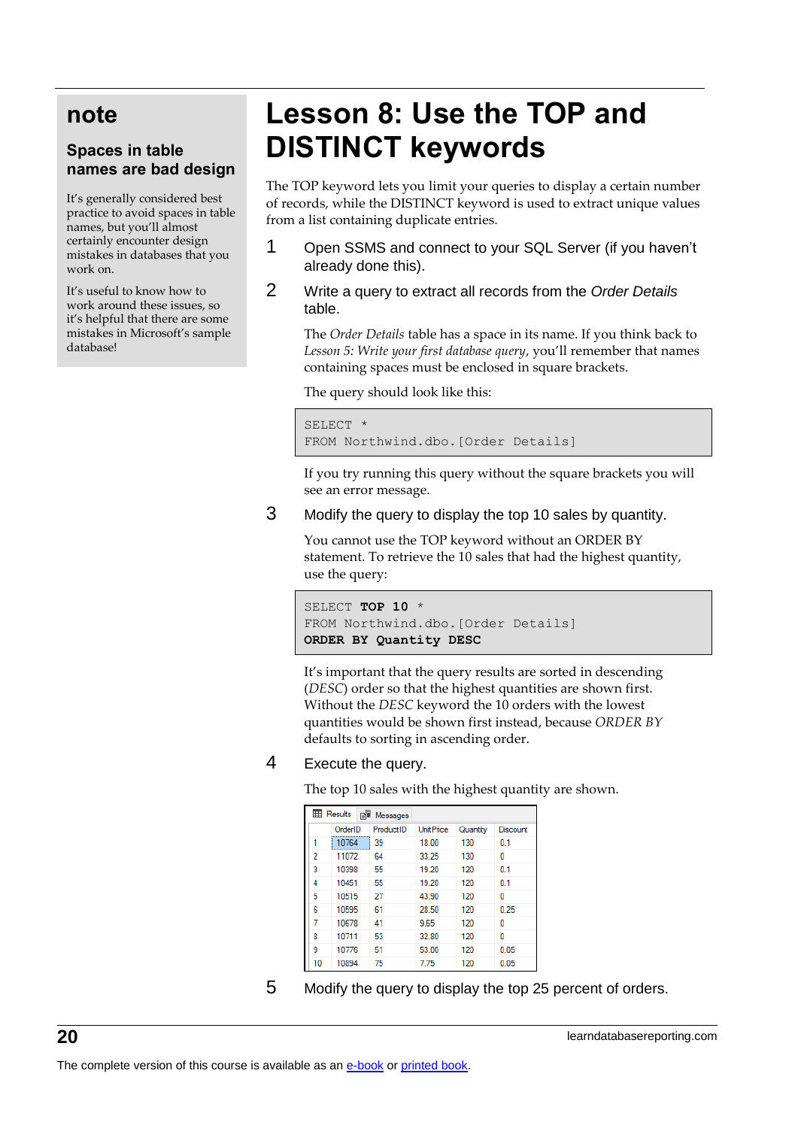## **note**

#### **Spaces in table names are bad design**

It's generally considered best practice to avoid spaces in table names, but you'll almost certainly encounter design mistakes in databases that you work on.

It's useful to know how to work around these issues, so it's helpful that there are some mistakes in Microsoft's sample database!

# **Lesson 8: Use the TOP and DISTINCT keywords**

The TOP keyword lets you limit your queries to display a certain number of records, while the DISTINCT keyword is used to extract unique values from a list containing duplicate entries.

- 1 Open SSMS and connect to your SQL Server (if you haven't already done this).
- 2 Write a query to extract all records from the *Order Details* table.

The *Order Details* table has a space in its name. If you think back to *Lesson 5: Write your first database query*, you'll remember that names containing spaces must be enclosed in square brackets.

The query should look like this:

SELECT \* FROM Northwind.dbo.[Order Details]

If you try running this query without the square brackets you will see an error message.

3 Modify the query to display the top 10 sales by quantity.

You cannot use the TOP keyword without an ORDER BY statement. To retrieve the 10 sales that had the highest quantity, use the query:

```
SELECT TOP 10 *
FROM Northwind.dbo.[Order Details]
ORDER BY Quantity DESC
```
It's important that the query results are sorted in descending (*DESC*) order so that the highest quantities are shown first. Without the *DESC* keyword the 10 orders with the lowest quantities would be shown first instead, because *ORDER BY* defaults to sorting in ascending order.

#### 4 Execute the query.

The top 10 sales with the highest quantity are shown.

| ⊞<br>PI.<br>Results<br>Messages |         |           |                  |          |          |  |  |
|---------------------------------|---------|-----------|------------------|----------|----------|--|--|
|                                 | OrderID | ProductID | <b>UnitPrice</b> | Quantity | Discount |  |  |
| 1                               | 10764   | 39        | 18.00            | 130      | 0.1      |  |  |
| 2                               | 11072   | 64        | 33.25            | 130      | 0        |  |  |
| 3                               | 10398   | 55        | 19.20            | 120      | 0.1      |  |  |
| 4                               | 10451   | 55        | 19.20            | 120      | 0.1      |  |  |
| 5                               | 10515   | 27        | 43.90            | 120      | ٥        |  |  |
| 6                               | 10595   | 61        | 28.50            | 120      | 0.25     |  |  |
| 7                               | 10678   | 41        | 9.65             | 120      | ٥        |  |  |
| 8                               | 10711   | 53        | 32.80            | 120      | ٥        |  |  |
| 9                               | 10776   | 51        | 53.00            | 120      | 0.05     |  |  |
| 10                              | 10894   | 75        | 7.75             | 120      | 0.05     |  |  |

5 Modify the query to display the top 25 percent of orders.